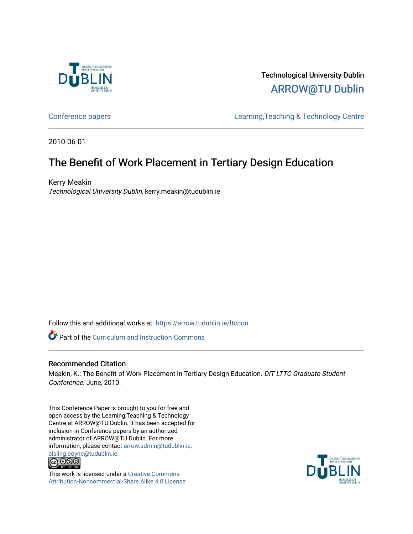

Technological University Dublin [ARROW@TU Dublin](https://arrow.tudublin.ie/) 

[Conference papers](https://arrow.tudublin.ie/ltccon) [Learning,Teaching & Technology Centre](https://arrow.tudublin.ie/ltc) 

2010-06-01

# The Benefit of Work Placement in Tertiary Design Education

Kerry Meakin Technological University Dublin, kerry.meakin@tudublin.ie

Follow this and additional works at: [https://arrow.tudublin.ie/ltccon](https://arrow.tudublin.ie/ltccon?utm_source=arrow.tudublin.ie%2Fltccon%2F5&utm_medium=PDF&utm_campaign=PDFCoverPages)

**C** Part of the Curriculum and Instruction Commons

#### Recommended Citation

Meakin, K.: The Benefit of Work Placement in Tertiary Design Education. DIT LTTC Graduate Student Conference. June, 2010.

This Conference Paper is brought to you for free and open access by the Learning,Teaching & Technology Centre at ARROW@TU Dublin. It has been accepted for inclusion in Conference papers by an authorized administrator of ARROW@TU Dublin. For more information, please contact [arrow.admin@tudublin.ie,](mailto:arrow.admin@tudublin.ie,%20aisling.coyne@tudublin.ie)  [aisling.coyne@tudublin.ie.](mailto:arrow.admin@tudublin.ie,%20aisling.coyne@tudublin.ie)<br> **@ 0 9 9** 



This work is licensed under a [Creative Commons](http://creativecommons.org/licenses/by-nc-sa/4.0/) [Attribution-Noncommercial-Share Alike 4.0 License](http://creativecommons.org/licenses/by-nc-sa/4.0/)

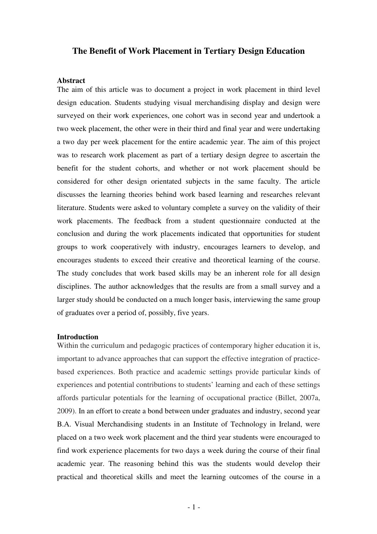## **The Benefit of Work Placement in Tertiary Design Education**

#### **Abstract**

The aim of this article was to document a project in work placement in third level design education. Students studying visual merchandising display and design were surveyed on their work experiences, one cohort was in second year and undertook a two week placement, the other were in their third and final year and were undertaking a two day per week placement for the entire academic year. The aim of this project was to research work placement as part of a tertiary design degree to ascertain the benefit for the student cohorts, and whether or not work placement should be considered for other design orientated subjects in the same faculty. The article discusses the learning theories behind work based learning and researches relevant literature. Students were asked to voluntary complete a survey on the validity of their work placements. The feedback from a student questionnaire conducted at the conclusion and during the work placements indicated that opportunities for student groups to work cooperatively with industry, encourages learners to develop, and encourages students to exceed their creative and theoretical learning of the course. The study concludes that work based skills may be an inherent role for all design disciplines. The author acknowledges that the results are from a small survey and a larger study should be conducted on a much longer basis, interviewing the same group of graduates over a period of, possibly, five years.

#### **Introduction**

Within the curriculum and pedagogic practices of contemporary higher education it is, important to advance approaches that can support the effective integration of practicebased experiences. Both practice and academic settings provide particular kinds of experiences and potential contributions to students' learning and each of these settings affords particular potentials for the learning of occupational practice (Billet, 2007a, 2009). In an effort to create a bond between under graduates and industry, second year B.A. Visual Merchandising students in an Institute of Technology in Ireland, were placed on a two week work placement and the third year students were encouraged to find work experience placements for two days a week during the course of their final academic year. The reasoning behind this was the students would develop their practical and theoretical skills and meet the learning outcomes of the course in a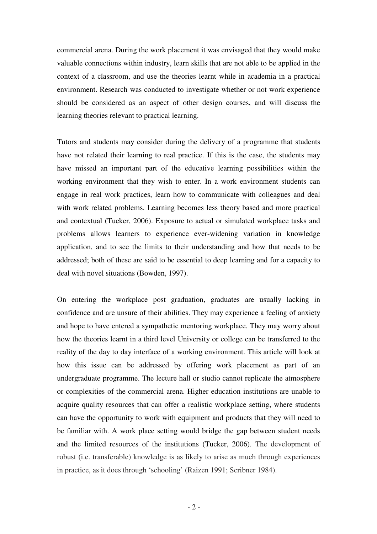commercial arena. During the work placement it was envisaged that they would make valuable connections within industry, learn skills that are not able to be applied in the context of a classroom, and use the theories learnt while in academia in a practical environment. Research was conducted to investigate whether or not work experience should be considered as an aspect of other design courses, and will discuss the learning theories relevant to practical learning.

Tutors and students may consider during the delivery of a programme that students have not related their learning to real practice. If this is the case, the students may have missed an important part of the educative learning possibilities within the working environment that they wish to enter. In a work environment students can engage in real work practices, learn how to communicate with colleagues and deal with work related problems. Learning becomes less theory based and more practical and contextual (Tucker, 2006). Exposure to actual or simulated workplace tasks and problems allows learners to experience ever-widening variation in knowledge application, and to see the limits to their understanding and how that needs to be addressed; both of these are said to be essential to deep learning and for a capacity to deal with novel situations (Bowden, 1997).

On entering the workplace post graduation, graduates are usually lacking in confidence and are unsure of their abilities. They may experience a feeling of anxiety and hope to have entered a sympathetic mentoring workplace. They may worry about how the theories learnt in a third level University or college can be transferred to the reality of the day to day interface of a working environment. This article will look at how this issue can be addressed by offering work placement as part of an undergraduate programme. The lecture hall or studio cannot replicate the atmosphere or complexities of the commercial arena. Higher education institutions are unable to acquire quality resources that can offer a realistic workplace setting, where students can have the opportunity to work with equipment and products that they will need to be familiar with. A work place setting would bridge the gap between student needs and the limited resources of the institutions (Tucker, 2006). The development of robust (i.e. transferable) knowledge is as likely to arise as much through experiences in practice, as it does through 'schooling' (Raizen 1991; Scribner 1984).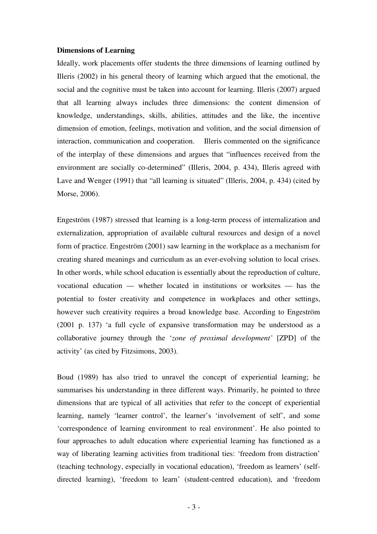#### **Dimensions of Learning**

Ideally, work placements offer students the three dimensions of learning outlined by Illeris (2002) in his general theory of learning which argued that the emotional, the social and the cognitive must be taken into account for learning. Illeris (2007) argued that all learning always includes three dimensions: the content dimension of knowledge, understandings, skills, abilities, attitudes and the like, the incentive dimension of emotion, feelings, motivation and volition, and the social dimension of interaction, communication and cooperation. Illeris commented on the significance of the interplay of these dimensions and argues that "influences received from the environment are socially co-determined" (Illeris, 2004, p. 434), Illeris agreed with Lave and Wenger (1991) that "all learning is situated" (Illeris, 2004, p. 434) (cited by Morse, 2006).

Engeström (1987) stressed that learning is a long-term process of internalization and externalization, appropriation of available cultural resources and design of a novel form of practice. Engeström (2001) saw learning in the workplace as a mechanism for creating shared meanings and curriculum as an ever-evolving solution to local crises. In other words, while school education is essentially about the reproduction of culture, vocational education — whether located in institutions or worksites — has the potential to foster creativity and competence in workplaces and other settings, however such creativity requires a broad knowledge base. According to Engeström (2001 p. 137) 'a full cycle of expansive transformation may be understood as a collaborative journey through the '*zone of proximal development'* [ZPD] of the activity' (as cited by Fitzsimons, 2003).

Boud (1989) has also tried to unravel the concept of experiential learning; he summarises his understanding in three different ways. Primarily, he pointed to three dimensions that are typical of all activities that refer to the concept of experiential learning, namely 'learner control', the learner's 'involvement of self', and some 'correspondence of learning environment to real environment'. He also pointed to four approaches to adult education where experiential learning has functioned as a way of liberating learning activities from traditional ties: 'freedom from distraction' (teaching technology, especially in vocational education), 'freedom as learners' (selfdirected learning), 'freedom to learn' (student-centred education), and 'freedom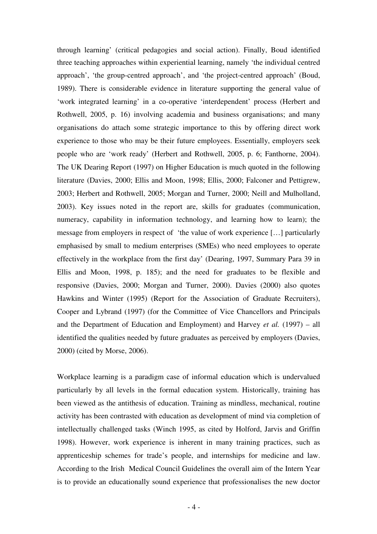through learning' (critical pedagogies and social action). Finally, Boud identified three teaching approaches within experiential learning, namely 'the individual centred approach', 'the group-centred approach', and 'the project-centred approach' (Boud, 1989). There is considerable evidence in literature supporting the general value of 'work integrated learning' in a co-operative 'interdependent' process (Herbert and Rothwell, 2005, p. 16) involving academia and business organisations; and many organisations do attach some strategic importance to this by offering direct work experience to those who may be their future employees. Essentially, employers seek people who are 'work ready' (Herbert and Rothwell, 2005, p. 6; Fanthorne, 2004). The UK Dearing Report (1997) on Higher Education is much quoted in the following literature (Davies, 2000; Ellis and Moon, 1998; Ellis, 2000; Falconer and Pettigrew, 2003; Herbert and Rothwell, 2005; Morgan and Turner, 2000; Neill and Mulholland, 2003). Key issues noted in the report are, skills for graduates (communication, numeracy, capability in information technology, and learning how to learn); the message from employers in respect of 'the value of work experience […] particularly emphasised by small to medium enterprises (SMEs) who need employees to operate effectively in the workplace from the first day' (Dearing, 1997, Summary Para 39 in Ellis and Moon, 1998, p. 185); and the need for graduates to be flexible and responsive (Davies, 2000; Morgan and Turner, 2000). Davies (2000) also quotes Hawkins and Winter (1995) (Report for the Association of Graduate Recruiters), Cooper and Lybrand (1997) (for the Committee of Vice Chancellors and Principals and the Department of Education and Employment) and Harvey *et al.* (1997) – all identified the qualities needed by future graduates as perceived by employers (Davies, 2000) (cited by Morse, 2006).

Workplace learning is a paradigm case of informal education which is undervalued particularly by all levels in the formal education system. Historically, training has been viewed as the antithesis of education. Training as mindless, mechanical, routine activity has been contrasted with education as development of mind via completion of intellectually challenged tasks (Winch 1995, as cited by Holford, Jarvis and Griffin 1998). However, work experience is inherent in many training practices, such as apprenticeship schemes for trade's people, and internships for medicine and law. According to the Irish Medical Council Guidelines the overall aim of the Intern Year is to provide an educationally sound experience that professionalises the new doctor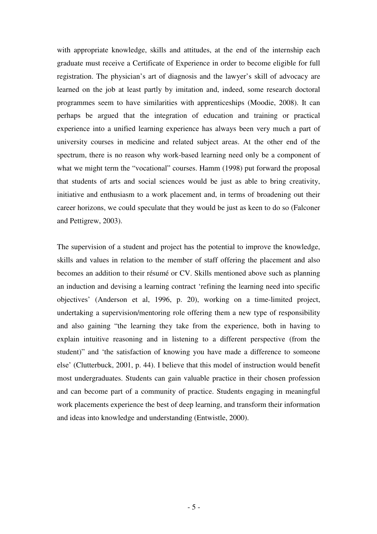with appropriate knowledge, skills and attitudes, at the end of the internship each graduate must receive a Certificate of Experience in order to become eligible for full registration. The physician's art of diagnosis and the lawyer's skill of advocacy are learned on the job at least partly by imitation and, indeed, some research doctoral programmes seem to have similarities with apprenticeships (Moodie, 2008). It can perhaps be argued that the integration of education and training or practical experience into a unified learning experience has always been very much a part of university courses in medicine and related subject areas. At the other end of the spectrum, there is no reason why work-based learning need only be a component of what we might term the "vocational" courses. Hamm (1998) put forward the proposal that students of arts and social sciences would be just as able to bring creativity, initiative and enthusiasm to a work placement and, in terms of broadening out their career horizons, we could speculate that they would be just as keen to do so (Falconer and Pettigrew, 2003).

The supervision of a student and project has the potential to improve the knowledge, skills and values in relation to the member of staff offering the placement and also becomes an addition to their résumé or CV. Skills mentioned above such as planning an induction and devising a learning contract 'refining the learning need into specific objectives' (Anderson et al, 1996, p. 20), working on a time-limited project, undertaking a supervision/mentoring role offering them a new type of responsibility and also gaining "the learning they take from the experience, both in having to explain intuitive reasoning and in listening to a different perspective (from the student)" and 'the satisfaction of knowing you have made a difference to someone else' (Clutterbuck, 2001, p. 44). I believe that this model of instruction would benefit most undergraduates. Students can gain valuable practice in their chosen profession and can become part of a community of practice. Students engaging in meaningful work placements experience the best of deep learning, and transform their information and ideas into knowledge and understanding (Entwistle, 2000).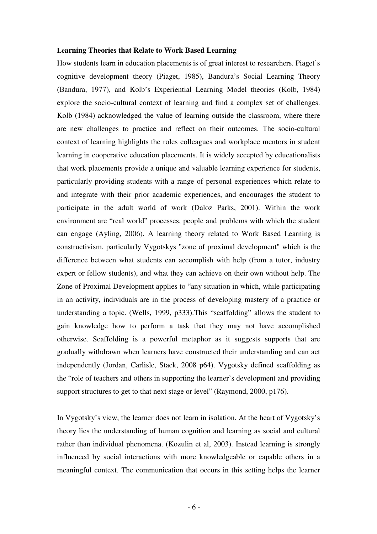#### **Learning Theories that Relate to Work Based Learning**

How students learn in education placements is of great interest to researchers. Piaget's cognitive development theory (Piaget, 1985), Bandura's Social Learning Theory (Bandura, 1977), and Kolb's Experiential Learning Model theories (Kolb, 1984) explore the socio-cultural context of learning and find a complex set of challenges. Kolb (1984) acknowledged the value of learning outside the classroom, where there are new challenges to practice and reflect on their outcomes. The socio-cultural context of learning highlights the roles colleagues and workplace mentors in student learning in cooperative education placements. It is widely accepted by educationalists that work placements provide a unique and valuable learning experience for students, particularly providing students with a range of personal experiences which relate to and integrate with their prior academic experiences, and encourages the student to participate in the adult world of work (Daloz Parks, 2001). Within the work environment are "real world" processes, people and problems with which the student can engage (Ayling, 2006). A learning theory related to Work Based Learning is constructivism, particularly Vygotskys "zone of proximal development" which is the difference between what students can accomplish with help (from a tutor, industry expert or fellow students), and what they can achieve on their own without help. The Zone of Proximal Development applies to "any situation in which, while participating in an activity, individuals are in the process of developing mastery of a practice or understanding a topic. (Wells, 1999, p333).This "scaffolding" allows the student to gain knowledge how to perform a task that they may not have accomplished otherwise. Scaffolding is a powerful metaphor as it suggests supports that are gradually withdrawn when learners have constructed their understanding and can act independently (Jordan, Carlisle, Stack, 2008 p64). Vygotsky defined scaffolding as the "role of teachers and others in supporting the learner's development and providing support structures to get to that next stage or level" (Raymond, 2000, p176).

In Vygotsky's view, the learner does not learn in isolation. At the heart of Vygotsky's theory lies the understanding of human cognition and learning as social and cultural rather than individual phenomena. (Kozulin et al, 2003). Instead learning is strongly influenced by social interactions with more knowledgeable or capable others in a meaningful context. The communication that occurs in this setting helps the learner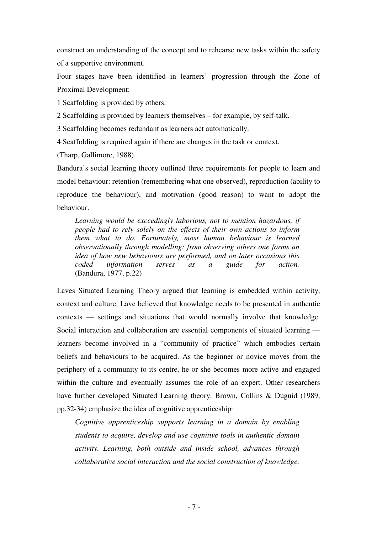construct an understanding of the concept and to rehearse new tasks within the safety of a supportive environment.

Four stages have been identified in learners' progression through the Zone of Proximal Development:

1 Scaffolding is provided by others.

2 Scaffolding is provided by learners themselves – for example, by self-talk.

3 Scaffolding becomes redundant as learners act automatically.

4 Scaffolding is required again if there are changes in the task or context.

(Tharp, Gallimore, 1988).

Bandura's social learning theory outlined three requirements for people to learn and model behaviour: retention (remembering what one observed), reproduction (ability to reproduce the behaviour), and motivation (good reason) to want to adopt the behaviour.

*Learning would be exceedingly laborious, not to mention hazardous, if people had to rely solely on the effects of their own actions to inform them what to do. Fortunately, most human behaviour is learned observationally through modelling: from observing others one forms an idea of how new behaviours are performed, and on later occasions this coded information serves as a guide for action.* (Bandura, 1977, p.22)

Laves Situated Learning Theory argued that learning is embedded within activity, context and culture. Lave believed that knowledge needs to be presented in authentic contexts — settings and situations that would normally involve that knowledge. Social interaction and collaboration are essential components of situated learning learners become involved in a "community of practice" which embodies certain beliefs and behaviours to be acquired. As the beginner or novice moves from the periphery of a community to its centre, he or she becomes more active and engaged within the culture and eventually assumes the role of an expert. Other researchers have further developed Situated Learning theory. Brown, Collins & Duguid (1989, pp.32-34) emphasize the idea of cognitive apprenticeship:

*Cognitive apprenticeship supports learning in a domain by enabling students to acquire, develop and use cognitive tools in authentic domain activity. Learning, both outside and inside school, advances through collaborative social interaction and the social construction of knowledge.*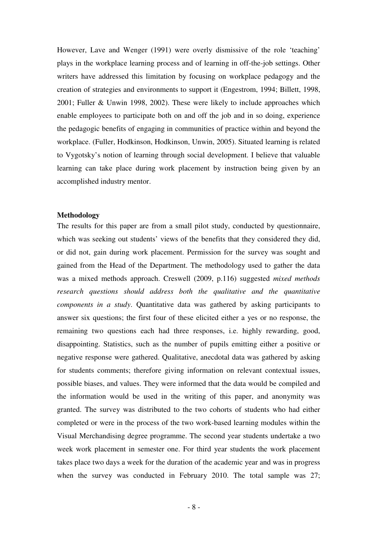However, Lave and Wenger (1991) were overly dismissive of the role 'teaching' plays in the workplace learning process and of learning in off-the-job settings. Other writers have addressed this limitation by focusing on workplace pedagogy and the creation of strategies and environments to support it (Engestrom, 1994; Billett, 1998, 2001; Fuller & Unwin 1998, 2002). These were likely to include approaches which enable employees to participate both on and off the job and in so doing, experience the pedagogic benefits of engaging in communities of practice within and beyond the workplace. (Fuller, Hodkinson, Hodkinson, Unwin, 2005). Situated learning is related to Vygotsky's notion of learning through social development. I believe that valuable learning can take place during work placement by instruction being given by an accomplished industry mentor.

#### **Methodology**

The results for this paper are from a small pilot study, conducted by questionnaire, which was seeking out students' views of the benefits that they considered they did, or did not, gain during work placement. Permission for the survey was sought and gained from the Head of the Department. The methodology used to gather the data was a mixed methods approach. Creswell (2009, p.116) suggested *mixed methods research questions should address both the qualitative and the quantitative components in a study*. Quantitative data was gathered by asking participants to answer six questions; the first four of these elicited either a yes or no response, the remaining two questions each had three responses, i.e. highly rewarding, good, disappointing. Statistics, such as the number of pupils emitting either a positive or negative response were gathered. Qualitative, anecdotal data was gathered by asking for students comments; therefore giving information on relevant contextual issues, possible biases, and values. They were informed that the data would be compiled and the information would be used in the writing of this paper, and anonymity was granted. The survey was distributed to the two cohorts of students who had either completed or were in the process of the two work-based learning modules within the Visual Merchandising degree programme. The second year students undertake a two week work placement in semester one. For third year students the work placement takes place two days a week for the duration of the academic year and was in progress when the survey was conducted in February 2010. The total sample was 27;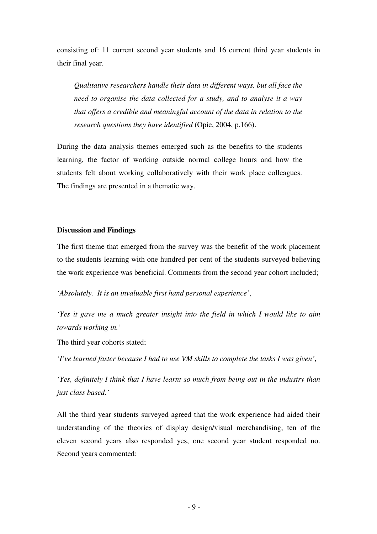consisting of: 11 current second year students and 16 current third year students in their final year.

*Qualitative researchers handle their data in different ways, but all face the need to organise the data collected for a study, and to analyse it a way that offers a credible and meaningful account of the data in relation to the research questions they have identified* (Opie, 2004, p.166).

During the data analysis themes emerged such as the benefits to the students learning, the factor of working outside normal college hours and how the students felt about working collaboratively with their work place colleagues. The findings are presented in a thematic way.

#### **Discussion and Findings**

The first theme that emerged from the survey was the benefit of the work placement to the students learning with one hundred per cent of the students surveyed believing the work experience was beneficial. Comments from the second year cohort included;

*'Absolutely. It is an invaluable first hand personal experience'*,

*'Yes it gave me a much greater insight into the field in which I would like to aim towards working in.'* 

The third year cohorts stated;

*'I've learned faster because I had to use VM skills to complete the tasks I was given'*,

*'Yes, definitely I think that I have learnt so much from being out in the industry than just class based.'*

All the third year students surveyed agreed that the work experience had aided their understanding of the theories of display design/visual merchandising, ten of the eleven second years also responded yes, one second year student responded no. Second years commented;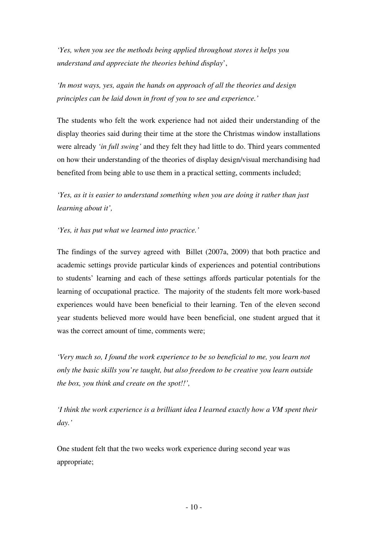*'Yes, when you see the methods being applied throughout stores it helps you understand and appreciate the theories behind d*is*play*',

*'In most ways, yes, again the hands on approach of all the theories and design principles can be laid down in front of you to see and experience.'*

The students who felt the work experience had not aided their understanding of the display theories said during their time at the store the Christmas window installations were already *'in full swing'* and they felt they had little to do. Third years commented on how their understanding of the theories of display design/visual merchandising had benefited from being able to use them in a practical setting, comments included;

*'Yes, as it is easier to understand something when you are doing it rather than just learning about it',*

## *'Yes, it has put what we learned into practice.'*

The findings of the survey agreed with Billet (2007a, 2009) that both practice and academic settings provide particular kinds of experiences and potential contributions to students' learning and each of these settings affords particular potentials for the learning of occupational practice. The majority of the students felt more work-based experiences would have been beneficial to their learning. Ten of the eleven second year students believed more would have been beneficial, one student argued that it was the correct amount of time, comments were;

*'Very much so, I found the work experience to be so beneficial to me, you learn not only the basic skills you're taught, but also freedom to be creative you learn outside the box, you think and create on the spot!!',* 

*'I think the work experience is a brilliant idea I learned exactly how a VM spent their day.'*

One student felt that the two weeks work experience during second year was appropriate;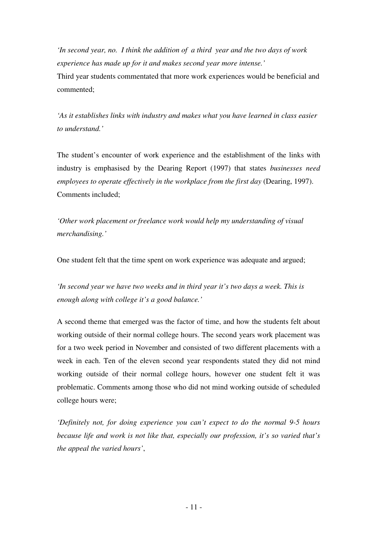*'In second year, no. I think the addition of a third year and the two days of work experience has made up for it and makes second year more intense.'* 

Third year students commentated that more work experiences would be beneficial and commented;

*'As it establishes links with industry and makes what you have learned in class easier to understand.'* 

The student's encounter of work experience and the establishment of the links with industry is emphasised by the Dearing Report (1997) that states *businesses need employees to operate effectively in the workplace from the first day (Dearing, 1997).* Comments included;

*'Other work placement or freelance work would help my understanding of visual merchandising.'*

One student felt that the time spent on work experience was adequate and argued;

*'In second year we have two weeks and in third year it's two days a week. This is enough along with college it's a good balance.'* 

A second theme that emerged was the factor of time, and how the students felt about working outside of their normal college hours. The second years work placement was for a two week period in November and consisted of two different placements with a week in each. Ten of the eleven second year respondents stated they did not mind working outside of their normal college hours, however one student felt it was problematic. Comments among those who did not mind working outside of scheduled college hours were;

*'Definitely not, for doing experience you can't expect to do the normal 9-5 hours because life and work is not like that, especially our profession, it's so varied that's the appeal the varied hours'*,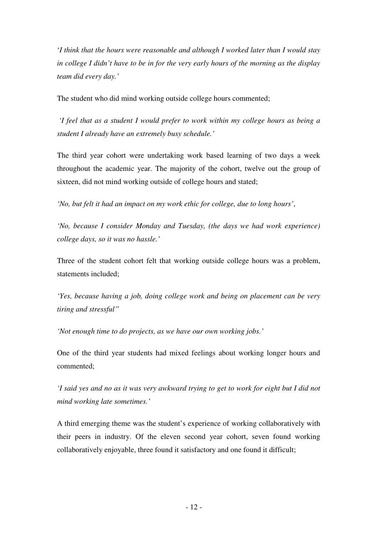'*I think that the hours were reasonable and although I worked later than I would stay in college I didn't have to be in for the very early hours of the morning as the display team did every day.'*

The student who did mind working outside college hours commented;

*'I feel that as a student I would prefer to work within my college hours as being a student I already have an extremely busy schedule.'*

The third year cohort were undertaking work based learning of two days a week throughout the academic year. The majority of the cohort, twelve out the group of sixteen, did not mind working outside of college hours and stated;

*'No, but felt it had an impact on my work ethic for college, due to long hours'*,

*'No, because I consider Monday and Tuesday, (the days we had work experience) college days, so it was no hassle.'*

Three of the student cohort felt that working outside college hours was a problem, statements included;

*'Yes, because having a job, doing college work and being on placement can be very tiring and stressful'*'

*'Not enough time to do projects, as we have our own working jobs.'*

One of the third year students had mixed feelings about working longer hours and commented;

*'I said yes and no as it was very awkward trying to get to work for eight but I did not mind working late sometimes.'*

A third emerging theme was the student's experience of working collaboratively with their peers in industry. Of the eleven second year cohort, seven found working collaboratively enjoyable, three found it satisfactory and one found it difficult;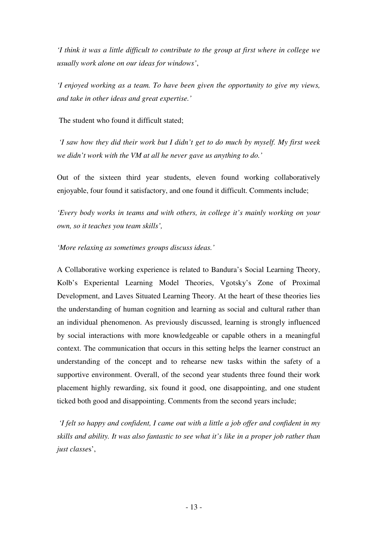*'I think it was a little difficult to contribute to the group at first where in college we usually work alone on our ideas for windows'*,

*'I enjoyed working as a team. To have been given the opportunity to give my views, and take in other ideas and great expertise.'* 

The student who found it difficult stated;

*'I saw how they did their work but I didn't get to do much by myself. My first week we didn't work with the VM at all he never gave us anything to do.'* 

Out of the sixteen third year students, eleven found working collaboratively enjoyable, four found it satisfactory, and one found it difficult. Comments include;

*'Every body works in teams and with others, in college it's mainly working on your own, so it teaches you team skills',*

*'More relaxing as sometimes groups discuss ideas.'* 

A Collaborative working experience is related to Bandura's Social Learning Theory, Kolb's Experiental Learning Model Theories, Vgotsky's Zone of Proximal Development, and Laves Situated Learning Theory. At the heart of these theories lies the understanding of human cognition and learning as social and cultural rather than an individual phenomenon. As previously discussed, learning is strongly influenced by social interactions with more knowledgeable or capable others in a meaningful context. The communication that occurs in this setting helps the learner construct an understanding of the concept and to rehearse new tasks within the safety of a supportive environment. Overall, of the second year students three found their work placement highly rewarding, six found it good, one disappointing, and one student ticked both good and disappointing. Comments from the second years include;

*'I felt so happy and confident, I came out with a little a job offer and confident in my skills and ability. It was also fantastic to see what it's like in a proper job rather than just classe*s',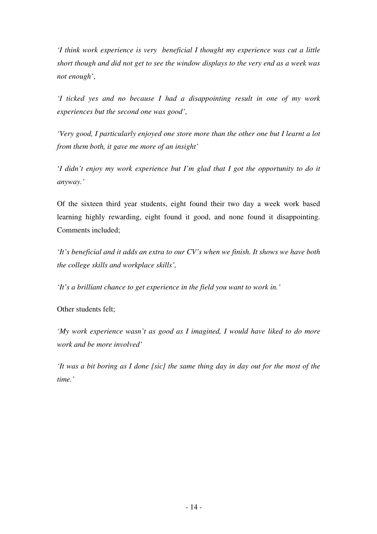*'I think work experience is very beneficial I thought my experience was cut a little short though and did not get to see the window displays to the very end as a week was not enough'*,

*'I ticked yes and no because I had a disappointing result in one of my work experiences but the second one was good'*,

*'Very good, I particularly enjoyed one store more than the other one but I learnt a lot from them both, it gave me more of an insight'*

'*I didn't enjoy my work experience but I'm glad that I got the opportunity to do it anyway.'*

Of the sixteen third year students, eight found their two day a week work based learning highly rewarding, eight found it good, and none found it disappointing. Comments included;

*'It's beneficial and it adds an extra to our CV's when we finish. It shows we have both the college skills and workplace skills',*

*'It's a brilliant chance to get experience in the field you want to work in.'* 

Other students felt;

*'My work experience wasn't as good as I imagined, I would have liked to do more work and be more involved'*

*'It was a bit boring as I done {sic} the same thing day in day out for the most of the time.'*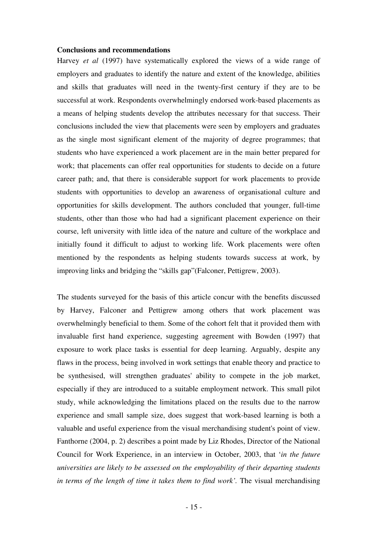#### **Conclusions and recommendations**

Harvey *et al* (1997) have systematically explored the views of a wide range of employers and graduates to identify the nature and extent of the knowledge, abilities and skills that graduates will need in the twenty-first century if they are to be successful at work. Respondents overwhelmingly endorsed work-based placements as a means of helping students develop the attributes necessary for that success. Their conclusions included the view that placements were seen by employers and graduates as the single most significant element of the majority of degree programmes; that students who have experienced a work placement are in the main better prepared for work; that placements can offer real opportunities for students to decide on a future career path; and, that there is considerable support for work placements to provide students with opportunities to develop an awareness of organisational culture and opportunities for skills development. The authors concluded that younger, full-time students, other than those who had had a significant placement experience on their course, left university with little idea of the nature and culture of the workplace and initially found it difficult to adjust to working life. Work placements were often mentioned by the respondents as helping students towards success at work, by improving links and bridging the "skills gap"(Falconer, Pettigrew, 2003).

The students surveyed for the basis of this article concur with the benefits discussed by Harvey, Falconer and Pettigrew among others that work placement was overwhelmingly beneficial to them. Some of the cohort felt that it provided them with invaluable first hand experience, suggesting agreement with Bowden (1997) that exposure to work place tasks is essential for deep learning. Arguably, despite any flaws in the process, being involved in work settings that enable theory and practice to be synthesised, will strengthen graduates' ability to compete in the job market, especially if they are introduced to a suitable employment network. This small pilot study, while acknowledging the limitations placed on the results due to the narrow experience and small sample size, does suggest that work-based learning is both a valuable and useful experience from the visual merchandising student's point of view. Fanthorne (2004, p. 2) describes a point made by Liz Rhodes, Director of the National Council for Work Experience, in an interview in October, 2003, that '*in the future universities are likely to be assessed on the employability of their departing students in terms of the length of time it takes them to find work'.* The visual merchandising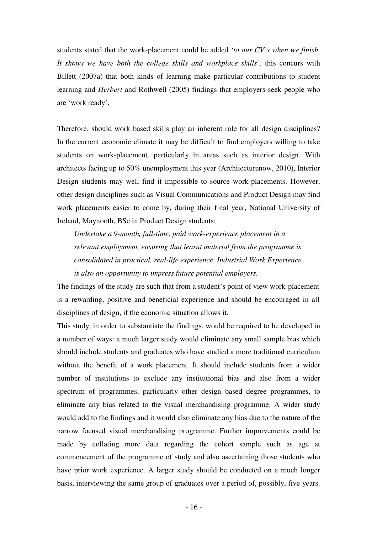students stated that the work-placement could be added *'to our CV's when we finish. It shows we have both the college skills and workplace skills',* this concurs with Billett (2007a) that both kinds of learning make particular contributions to student learning and *Herbert* and Rothwell (2005) findings that employers seek people who are 'work ready'.

Therefore, should work based skills play an inherent role for all design disciplines? In the current economic climate it may be difficult to find employers willing to take students on work-placement, particularly in areas such as interior design. With architects facing up to 50% unemployment this year (Architecturenow, 2010), Interior Design students may well find it impossible to source work-placements. However, other design disciplines such as Visual Communications and Product Design may find work placements easier to come by, during their final year, National University of Ireland, Maynooth, BSc in Product Design students;

*Undertake a 9-month, full-time, paid work-experience placement in a relevant employment, ensuring that learnt material from the programme is consolidated in practical, real-life experience. Industrial Work Experience is also an opportunity to impress future potential employers.*

The findings of the study are such that from a student's point of view work-placement is a rewarding, positive and beneficial experience and should be encouraged in all disciplines of design, if the economic situation allows it.

This study, in order to substantiate the findings, would be required to be developed in a number of ways: a much larger study would eliminate any small sample bias which should include students and graduates who have studied a more traditional curriculum without the benefit of a work placement. It should include students from a wider number of institutions to exclude any institutional bias and also from a wider spectrum of programmes, particularly other design based degree programmes, to eliminate any bias related to the visual merchandising programme. A wider study would add to the findings and it would also eliminate any bias due to the nature of the narrow focused visual merchandising programme. Further improvements could be made by collating more data regarding the cohort sample such as age at commencement of the programme of study and also ascertaining those students who have prior work experience. A larger study should be conducted on a much longer basis, interviewing the same group of graduates over a period of, possibly, five years.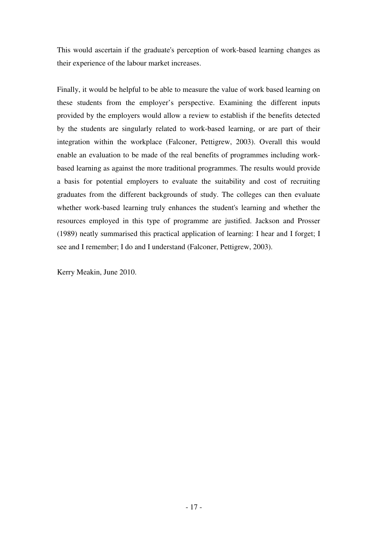This would ascertain if the graduate's perception of work-based learning changes as their experience of the labour market increases.

Finally, it would be helpful to be able to measure the value of work based learning on these students from the employer's perspective. Examining the different inputs provided by the employers would allow a review to establish if the benefits detected by the students are singularly related to work-based learning, or are part of their integration within the workplace (Falconer, Pettigrew, 2003). Overall this would enable an evaluation to be made of the real benefits of programmes including workbased learning as against the more traditional programmes. The results would provide a basis for potential employers to evaluate the suitability and cost of recruiting graduates from the different backgrounds of study. The colleges can then evaluate whether work-based learning truly enhances the student's learning and whether the resources employed in this type of programme are justified. Jackson and Prosser (1989) neatly summarised this practical application of learning: I hear and I forget; I see and I remember; I do and I understand (Falconer, Pettigrew, 2003).

Kerry Meakin, June 2010.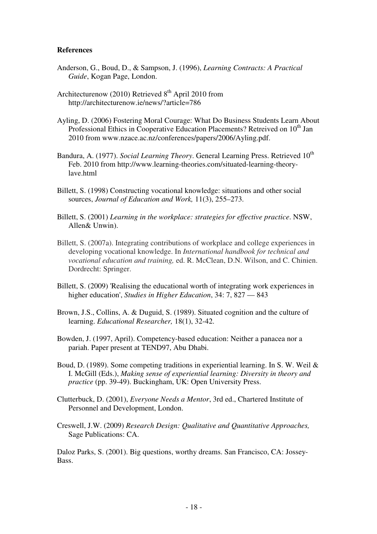### **References**

- Anderson, G., Boud, D., & Sampson, J. (1996), *Learning Contracts: A Practical Guide*, Kogan Page, London.
- Architecturenow (2010) Retrieved  $8<sup>th</sup>$  April 2010 from http://architecturenow.ie/news/?article=786
- Ayling, D. (2006) Fostering Moral Courage: What Do Business Students Learn About Professional Ethics in Cooperative Education Placements? Retreived on 10<sup>th</sup> Jan 2010 from www.nzace.ac.nz/conferences/papers/2006/Ayling.pdf.
- Bandura, A. (1977). *Social Learning Theory*. General Learning Press. Retrieved 10<sup>th</sup> Feb. 2010 from http://www.learning-theories.com/situated-learning-theorylave.html
- Billett, S. (1998) Constructing vocational knowledge: situations and other social sources, *Journal of Education and Work,* 11(3), 255–273.
- Billett, S. (2001) *Learning in the workplace: strategies for effective practice*. NSW, Allen& Unwin).
- Billett, S. (2007a). Integrating contributions of workplace and college experiences in developing vocational knowledge. In *International handbook for technical and vocational education and training,* ed. R. McClean, D.N. Wilson, and C. Chinien. Dordrecht: Springer.
- Billett, S. (2009) 'Realising the educational worth of integrating work experiences in higher education', *Studies in Higher Education*, 34: 7, 827 — 843
- Brown, J.S., Collins, A. & Duguid, S. (1989). Situated cognition and the culture of learning. *Educational Researcher,* 18(1), 32-42.
- Bowden, J. (1997, April). Competency-based education: Neither a panacea nor a pariah. Paper present at TEND97, Abu Dhabi.
- Boud, D. (1989). Some competing traditions in experiential learning. In S. W. Weil & I. McGill (Eds.), *Making sense of experiential learning: Diversity in theory and practice* (pp. 39-49). Buckingham, UK: Open University Press.
- Clutterbuck, D. (2001), *Everyone Needs a Mentor*, 3rd ed., Chartered Institute of Personnel and Development, London.
- Creswell, J.W. (2009) *Research Design: Qualitative and Quantitative Approaches,* Sage Publications: CA.

Daloz Parks, S. (2001). Big questions, worthy dreams. San Francisco, CA: Jossey-Bass.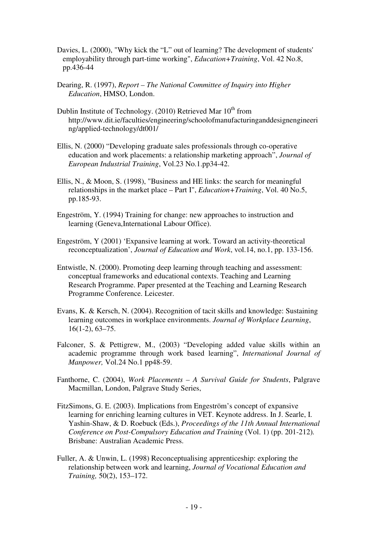- Davies, L. (2000), "Why kick the "L" out of learning? The development of students' employability through part-time working", *Education+Training*, Vol. 42 No.8, pp.436-44
- Dearing, R. (1997), *Report The National Committee of Inquiry into Higher Education*, HMSO, London.
- Dublin Institute of Technology. (2010) Retrieved Mar 10<sup>th</sup> from http://www.dit.ie/faculties/engineering/schoolofmanufacturinganddesignengineeri ng/applied-technology/dt001/
- Ellis, N. (2000) "Developing graduate sales professionals through co-operative education and work placements: a relationship marketing approach", *Journal of European Industrial Training*, Vol.23 No.1.pp34-42.
- Ellis, N., & Moon, S. (1998), "Business and HE links: the search for meaningful relationships in the market place – Part I", *Education+Training*, Vol. 40 No.5, pp.185-93.
- Engeström, Y. (1994) Training for change: new approaches to instruction and learning (Geneva,International Labour Office).
- Engeström, Y (2001) 'Expansive learning at work. Toward an activity-theoretical reconceptualization', *Journal of Education and Work*, vol.14, no.1, pp. 133-156.
- Entwistle, N. (2000). Promoting deep learning through teaching and assessment: conceptual frameworks and educational contexts. Teaching and Learning Research Programme. Paper presented at the Teaching and Learning Research Programme Conference. Leicester.
- Evans, K. & Kersch, N. (2004). Recognition of tacit skills and knowledge: Sustaining learning outcomes in workplace environments. *Journal of Workplace Learning*, 16(1-2), 63–75.
- Falconer, S. & Pettigrew, M., (2003) "Developing added value skills within an academic programme through work based learning", *International Journal of Manpower,* Vol.24 No.1 pp48-59.
- Fanthorne, C. (2004), *Work Placements A Survival Guide for Students*, Palgrave Macmillan, London, Palgrave Study Series,
- FitzSimons, G. E. (2003). Implications from Engeström's concept of expansive learning for enriching learning cultures in VET. Keynote address. In J. Searle, I. Yashin-Shaw, & D. Roebuck (Eds.), *Proceedings of the 11th Annual International Conference on Post-Compulsory Education and Training (Vol. 1) (pp. 201-212).* Brisbane: Australian Academic Press.
- Fuller, A. & Unwin, L. (1998) Reconceptualising apprenticeship: exploring the relationship between work and learning, *Journal of Vocational Education and Training,* 50(2), 153–172.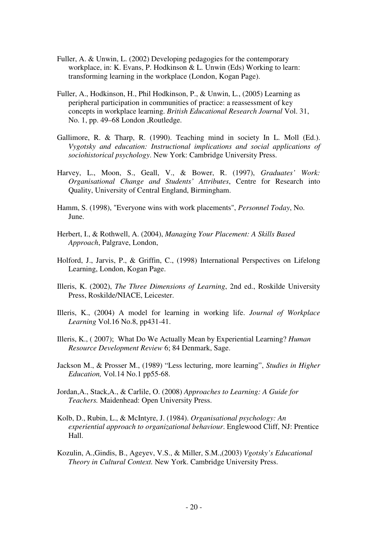- Fuller, A. & Unwin, L. (2002) Developing pedagogies for the contemporary workplace, in: K. Evans, P. Hodkinson & L. Unwin (Eds) Working to learn: transforming learning in the workplace (London, Kogan Page).
- Fuller, A., Hodkinson, H., Phil Hodkinson, P., & Unwin, L., (2005) Learning as peripheral participation in communities of practice: a reassessment of key concepts in workplace learning. *British Educational Research Journal* Vol. 31, No. 1, pp. 49–68 London ,Routledge.
- Gallimore, R. & Tharp, R. (1990). Teaching mind in society In L. Moll (Ed.). *Vygotsky and education: Instructional implications and social applications of sociohistorical psychology*. New York: Cambridge University Press.
- Harvey, L., Moon, S., Geall, V., & Bower, R. (1997), *Graduates' Work: Organisational Change and Students' Attributes*, Centre for Research into Quality, University of Central England, Birmingham.
- Hamm, S. (1998), "Everyone wins with work placements", *Personnel Today*, No. June.
- Herbert, I., & Rothwell, A. (2004), *Managing Your Placement: A Skills Based Approach*, Palgrave, London,
- Holford, J., Jarvis, P., & Griffin, C., (1998) International Perspectives on Lifelong Learning, London, Kogan Page.
- Illeris, K. (2002), *The Three Dimensions of Learning*, 2nd ed., Roskilde University Press, Roskilde/NIACE, Leicester.
- Illeris, K., (2004) A model for learning in working life. *Journal of Workplace Learning* Vol.16 No.8, pp431-41.
- Illeris, K., ( 2007); What Do We Actually Mean by Experiential Learning? *Human Resource Development Review* 6; 84 Denmark, Sage.
- Jackson M., & Prosser M., (1989) "Less lecturing, more learning", *Studies in Higher Education,* Vol.14 No.1 pp55-68.
- Jordan,A., Stack,A., & Carlile, O. (2008) *Approaches to Learning: A Guide for Teachers.* Maidenhead: Open University Press.
- Kolb, D., Rubin, L., & McIntyre, J. (1984). *Organisational psychology: An experiential approach to organizational behaviour*. Englewood Cliff, NJ: Prentice Hall.
- Kozulin, A.,Gindis, B., Ageyev, V.S., & Miller, S.M.,(2003) *Vgotsky's Educational Theory in Cultural Context.* New York. Cambridge University Press.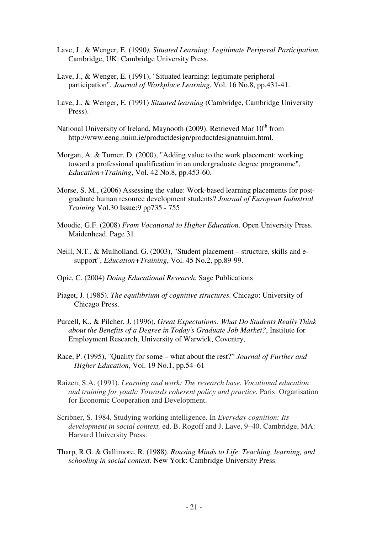- Lave, J., & Wenger, E. (1990*). Situated Learning: Legitimate Periperal Participation.* Cambridge, UK: Cambridge University Press.
- Lave, J., & Wenger, E. (1991), "Situated learning: legitimate peripheral participation", *Journal of Workplace Learning*, Vol. 16 No.8, pp.431-41.
- Lave, J., & Wenger, E. (1991) *Situated learning* (Cambridge, Cambridge University Press).
- National University of Ireland, Maynooth (2009). Retrieved Mar 10<sup>th</sup> from http://www.eeng.nuim.ie/productdesign/productdesignatnuim.html.
- Morgan, A. & Turner, D. (2000), "Adding value to the work placement: working toward a professional qualification in an undergraduate degree programme", *Education+Training*, Vol. 42 No.8, pp.453-60.
- Morse, S. M., (2006) Assessing the value: Work-based learning placements for postgraduate human resource development students? *Journal of European Industrial Training* Vol.30 Issue:9 pp735 - 755
- Moodie, G.F. (2008) *From Vocational to Higher Education*. Open University Press. Maidenhead. Page 31.
- Neill, N.T., & Mulholland, G. (2003), "Student placement structure, skills and esupport", *Education+Training*, Vol. 45 No.2, pp.89-99.
- Opie, C. (2004) *Doing Educational Research.* Sage Publications
- Piaget, J. (1985). *The equilibrium of cognitive structures.* Chicago: University of Chicago Press.
- Purcell, K., & Pilcher, J. (1996), *Great Expectations: What Do Students Really Think about the Benefits of a Degree in Today's Graduate Job Market?*, Institute for Employment Research, University of Warwick, Coventry,
- Race, P. (1995), "Quality for some what about the rest?" *Journal of Further and Higher Education*, Vol. 19 No.1, pp.54–61
- Raizen, S.A. (1991). *Learning and work: The research base. Vocational education and training for youth: Towards coherent policy and practice.* Paris: Organisation for Economic Cooperation and Development.
- Scribner, S. 1984. Studying working intelligence. In *Everyday cognition: Its development in social context,* ed. B. Rogoff and J. Lave, 9–40. Cambridge, MA: Harvard University Press.
- Tharp, R.G. & Gallimore, R. (1988). *Rousing Minds to Life*: *Teaching, learning, and schooling in social context*. New York: Cambridge University Press.